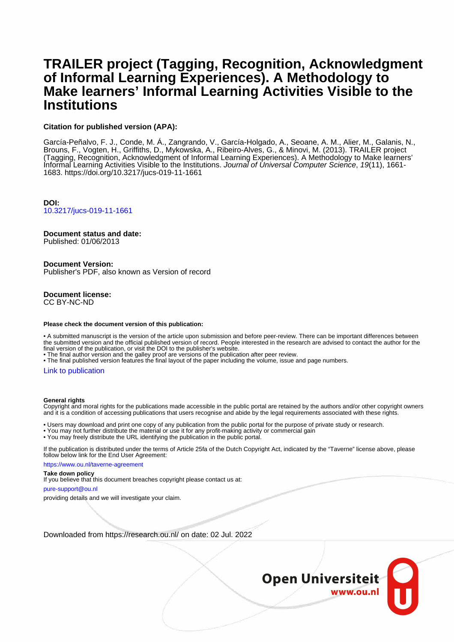# **TRAILER project (Tagging, Recognition, Acknowledgment of Informal Learning Experiences). A Methodology to Make learners' Informal Learning Activities Visible to the Institutions**

# **Citation for published version (APA):**

García-Peñalvo, F. J., Conde, M. Á., Zangrando, V., García-Holgado, A., Seoane, A. M., Alier, M., Galanis, N., Brouns, F., Vogten, H., Griffiths, D., Mykowska, A., Ribeiro-Alves, G., & Minovi, M. (2013). TRAILER project (Tagging, Recognition, Acknowledgment of Informal Learning Experiences). A Methodology to Make learners' Informal Learning Activities Visible to the Institutions. Journal of Universal Computer Science, 19(11), 1661- 1683. <https://doi.org/10.3217/jucs-019-11-1661>

**DOI:** [10.3217/jucs-019-11-1661](https://doi.org/10.3217/jucs-019-11-1661)

# **Document status and date:**

Published: 01/06/2013

## **Document Version:**

Publisher's PDF, also known as Version of record

#### **Document license:** CC BY-NC-ND

#### **Please check the document version of this publication:**

• A submitted manuscript is the version of the article upon submission and before peer-review. There can be important differences between the submitted version and the official published version of record. People interested in the research are advised to contact the author for the final version of the publication, or visit the DOI to the publisher's website.

• The final author version and the galley proof are versions of the publication after peer review.

• The final published version features the final layout of the paper including the volume, issue and page numbers.

#### [Link to publication](https://research.ou.nl/en/publications/22d4b079-386a-4589-8d4c-6efd5bbebc82)

#### **General rights**

Copyright and moral rights for the publications made accessible in the public portal are retained by the authors and/or other copyright owners and it is a condition of accessing publications that users recognise and abide by the legal requirements associated with these rights.

- Users may download and print one copy of any publication from the public portal for the purpose of private study or research.
- You may not further distribute the material or use it for any profit-making activity or commercial gain
- You may freely distribute the URL identifying the publication in the public portal.

If the publication is distributed under the terms of Article 25fa of the Dutch Copyright Act, indicated by the "Taverne" license above, please follow below link for the End User Agreement:

https://www.ou.nl/taverne-agreement

#### **Take down policy**

If you believe that this document breaches copyright please contact us at:

#### pure-support@ou.nl

providing details and we will investigate your claim.

Downloaded from https://research.ou.nl/ on date: 02 Jul. 2022

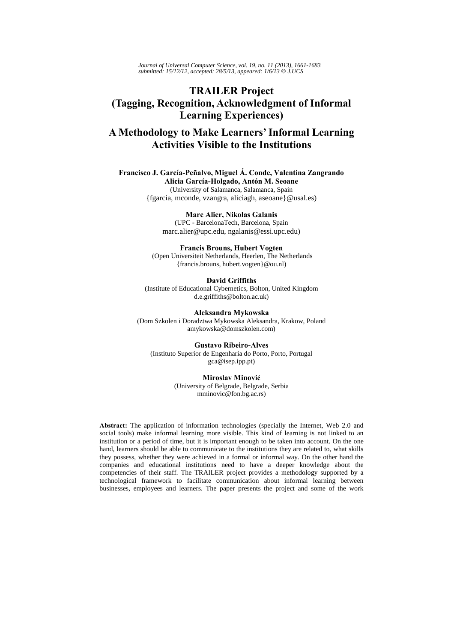*Journal of Universal Computer Science, vol. 19, no. 11 (2013), 1661-1683 submitted: 15/12/12, accepted: 28/5/13, appeared: 1/6/13* © *J.UCS*

# **TRAILER Project (Tagging, Recognition, Acknowledgment of Informal Learning Experiences)**

# **A Methodology to Make Learners' Informal Learning Activities Visible to the Institutions**

**Francisco J. García-Peñalvo, Miguel Á. Conde, Valentina Zangrando Alicia García-Holgado, Antón M. Seoane** (University of Salamanca, Salamanca, Spain {fgarcia, mconde, vzangra, aliciagh, aseoane}@usal.es)

> **Marc Alier, Nikolas Galanis** (UPC - BarcelonaTech, Barcelona, Spain marc.alier@upc.edu, ngalanis@essi.upc.edu)

**Francis Brouns, Hubert Vogten** (Open Universiteit Netherlands, Heerlen, The Netherlands {francis.brouns, hubert.vogten}@ou.nl)

**David Griffiths** (Institute of Educational Cybernetics, Bolton, United Kingdom d.e.griffiths@bolton.ac.uk)

**Aleksandra Mykowska** (Dom Szkolen i Doradztwa Mykowska Aleksandra, Krakow, Poland amykowska@domszkolen.com)

**Gustavo Ribeiro-Alves**  (Instituto Superior de Engenharia do Porto, Porto, Portugal gca@isep.ipp.pt)

#### **Miroslav Minović**

(University of Belgrade, Belgrade, Serbia mminovic@fon.bg.ac.rs)

**Abstract:** The application of information technologies (specially the Internet, Web 2.0 and social tools) make informal learning more visible. This kind of learning is not linked to an institution or a period of time, but it is important enough to be taken into account. On the one hand, learners should be able to communicate to the institutions they are related to, what skills they possess, whether they were achieved in a formal or informal way. On the other hand the companies and educational institutions need to have a deeper knowledge about the competencies of their staff. The TRAILER project provides a methodology supported by a technological framework to facilitate communication about informal learning between businesses, employees and learners. The paper presents the project and some of the work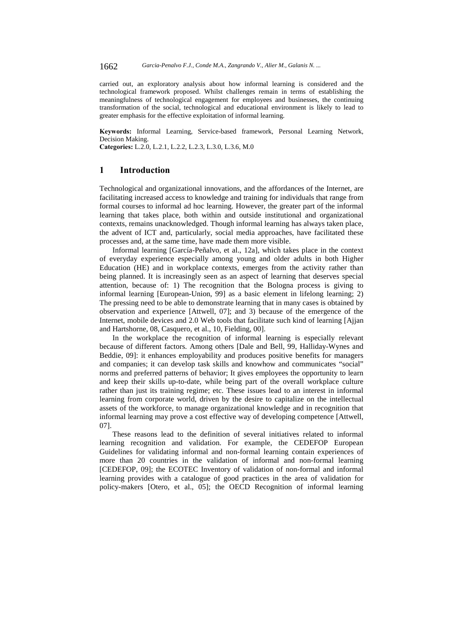carried out, an exploratory analysis about how informal learning is considered and the technological framework proposed. Whilst challenges remain in terms of establishing the meaningfulness of technological engagement for employees and businesses, the continuing transformation of the social, technological and educational environment is likely to lead to greater emphasis for the effective exploitation of informal learning.

**Keywords:** Informal Learning, Service-based framework, Personal Learning Network, Decision Making.

**Categories:** L.2.0, L.2.1, L.2.2, L.2.3, L.3.0, L.3.6, M.0

# **1 Introduction**

Technological and organizational innovations, and the affordances of the Internet, are facilitating increased access to knowledge and training for individuals that range from formal courses to informal ad hoc learning. However, the greater part of the informal learning that takes place, both within and outside institutional and organizational contexts, remains unacknowledged. Though informal learning has always taken place, the advent of ICT and, particularly, social media approaches, have facilitated these processes and, at the same time, have made them more visible.

Informal learning [García-Peñalvo, et al., 12a], which takes place in the context of everyday experience especially among young and older adults in both Higher Education (HE) and in workplace contexts, emerges from the activity rather than being planned. It is increasingly seen as an aspect of learning that deserves special attention, because of: 1) The recognition that the Bologna process is giving to informal learning [European-Union, 99] as a basic element in lifelong learning; 2) The pressing need to be able to demonstrate learning that in many cases is obtained by observation and experience [Attwell, 07]; and 3) because of the emergence of the Internet, mobile devices and 2.0 Web tools that facilitate such kind of learning [Ajjan and Hartshorne, 08, Casquero, et al., 10, Fielding, 00].

In the workplace the recognition of informal learning is especially relevant because of different factors. Among others [Dale and Bell, 99, Halliday-Wynes and Beddie, 09]: it enhances employability and produces positive benefits for managers and companies; it can develop task skills and knowhow and communicates "social" norms and preferred patterns of behavior; It gives employees the opportunity to learn and keep their skills up-to-date, while being part of the overall workplace culture rather than just its training regime; etc. These issues lead to an interest in informal learning from corporate world, driven by the desire to capitalize on the intellectual assets of the workforce, to manage organizational knowledge and in recognition that informal learning may prove a cost effective way of developing competence [Attwell, 07].

These reasons lead to the definition of several initiatives related to informal learning recognition and validation. For example, the CEDEFOP European Guidelines for validating informal and non-formal learning contain experiences of more than 20 countries in the validation of informal and non-formal learning [CEDEFOP, 09]; the ECOTEC Inventory of validation of non-formal and informal learning provides with a catalogue of good practices in the area of validation for policy-makers [Otero, et al., 05]; the OECD Recognition of informal learning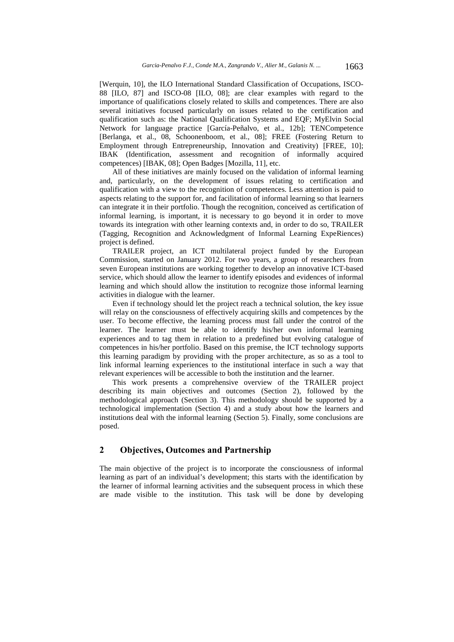[Werquin, 10], the ILO International Standard Classification of Occupations, ISCO-88 [ILO, 87] and ISCO-08 [ILO, 08]; are clear examples with regard to the importance of qualifications closely related to skills and competences. There are also several initiatives focused particularly on issues related to the certification and qualification such as: the National Qualification Systems and EQF; MyElvin Social Network for language practice [García-Peñalvo, et al., 12b]; TENCompetence [Berlanga, et al., 08, Schoonenboom, et al., 08]; FREE (Fostering Return to Employment through Entrepreneurship, Innovation and Creativity) [FREE, 10]; IBAK (Identification, assessment and recognition of informally acquired competences) [IBAK, 08]; Open Badges [Mozilla, 11], etc.

All of these initiatives are mainly focused on the validation of informal learning and, particularly, on the development of issues relating to certification and qualification with a view to the recognition of competences. Less attention is paid to aspects relating to the support for, and facilitation of informal learning so that learners can integrate it in their portfolio. Though the recognition, conceived as certification of informal learning, is important, it is necessary to go beyond it in order to move towards its integration with other learning contexts and, in order to do so, TRAILER (Tagging, Recognition and Acknowledgment of Informal Learning ExpeRiences) project is defined.

TRAILER project, an ICT multilateral project funded by the European Commission, started on January 2012. For two years, a group of researchers from seven European institutions are working together to develop an innovative ICT-based service, which should allow the learner to identify episodes and evidences of informal learning and which should allow the institution to recognize those informal learning activities in dialogue with the learner.

Even if technology should let the project reach a technical solution, the key issue will relay on the consciousness of effectively acquiring skills and competences by the user. To become effective, the learning process must fall under the control of the learner. The learner must be able to identify his/her own informal learning experiences and to tag them in relation to a predefined but evolving catalogue of competences in his/her portfolio. Based on this premise, the ICT technology supports this learning paradigm by providing with the proper architecture, as so as a tool to link informal learning experiences to the institutional interface in such a way that relevant experiences will be accessible to both the institution and the learner.

This work presents a comprehensive overview of the TRAILER project describing its main objectives and outcomes (Section 2), followed by the methodological approach (Section 3). This methodology should be supported by a technological implementation (Section 4) and a study about how the learners and institutions deal with the informal learning (Section 5). Finally, some conclusions are posed.

# **2 Objectives, Outcomes and Partnership**

The main objective of the project is to incorporate the consciousness of informal learning as part of an individual's development; this starts with the identification by the learner of informal learning activities and the subsequent process in which these are made visible to the institution. This task will be done by developing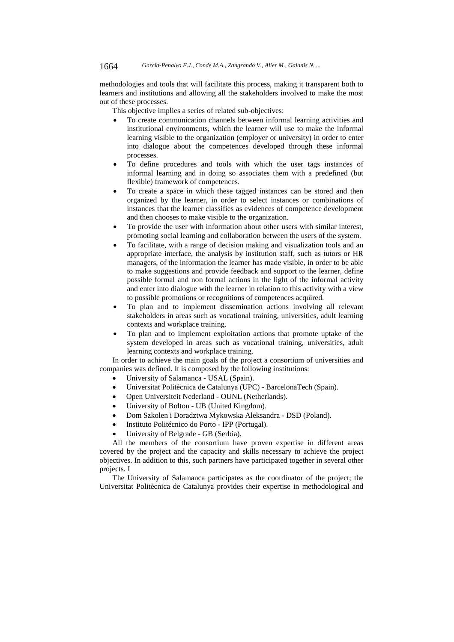methodologies and tools that will facilitate this process, making it transparent both to learners and institutions and allowing all the stakeholders involved to make the most out of these processes.

This objective implies a series of related sub-objectives:

- To create communication channels between informal learning activities and institutional environments, which the learner will use to make the informal learning visible to the organization (employer or university) in order to enter into dialogue about the competences developed through these informal processes.
- To define procedures and tools with which the user tags instances of informal learning and in doing so associates them with a predefined (but flexible) framework of competences.
- To create a space in which these tagged instances can be stored and then organized by the learner, in order to select instances or combinations of instances that the learner classifies as evidences of competence development and then chooses to make visible to the organization.
- To provide the user with information about other users with similar interest, promoting social learning and collaboration between the users of the system.
- To facilitate, with a range of decision making and visualization tools and an appropriate interface, the analysis by institution staff, such as tutors or HR managers, of the information the learner has made visible, in order to be able to make suggestions and provide feedback and support to the learner, define possible formal and non formal actions in the light of the informal activity and enter into dialogue with the learner in relation to this activity with a view to possible promotions or recognitions of competences acquired.
- To plan and to implement dissemination actions involving all relevant stakeholders in areas such as vocational training, universities, adult learning contexts and workplace training.
- To plan and to implement exploitation actions that promote uptake of the system developed in areas such as vocational training, universities, adult learning contexts and workplace training.

In order to achieve the main goals of the project a consortium of universities and companies was defined. It is composed by the following institutions:

- University of Salamanca USAL (Spain).
- Universitat Politècnica de Catalunya (UPC) BarcelonaTech (Spain).
- Open Universiteit Nederland OUNL (Netherlands).
- University of Bolton UB (United Kingdom).
- Dom Szkolen i Doradztwa Mykowska Aleksandra DSD (Poland).
- Instituto Politécnico do Porto IPP (Portugal).
- University of Belgrade GB (Serbia).

All the members of the consortium have proven expertise in different areas covered by the project and the capacity and skills necessary to achieve the project objectives. In addition to this, such partners have participated together in several other projects. I

The University of Salamanca participates as the coordinator of the project; the Universitat Politècnica de Catalunya provides their expertise in methodological and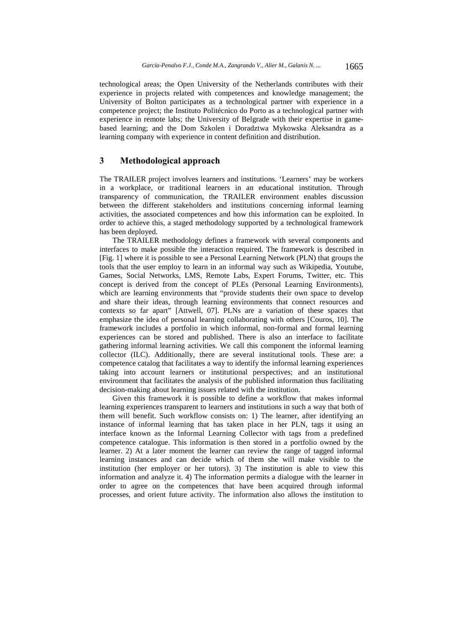technological areas; the Open University of the Netherlands contributes with their experience in projects related with competences and knowledge management; the University of Bolton participates as a technological partner with experience in a competence project; the Instituto Politécnico do Porto as a technological partner with experience in remote labs; the University of Belgrade with their expertise in gamebased learning; and the Dom Szkolen i Doradztwa Mykowska Aleksandra as a learning company with experience in content definition and distribution.

## **3 Methodological approach**

The TRAILER project involves learners and institutions. 'Learners' may be workers in a workplace, or traditional learners in an educational institution. Through transparency of communication, the TRAILER environment enables discussion between the different stakeholders and institutions concerning informal learning activities, the associated competences and how this information can be exploited. In order to achieve this, a staged methodology supported by a technological framework has been deployed.

The TRAILER methodology defines a framework with several components and interfaces to make possible the interaction required. The framework is described in [Fig. 1] where it is possible to see a Personal Learning Network (PLN) that groups the tools that the user employ to learn in an informal way such as Wikipedia, Youtube, Games, Social Networks, LMS, Remote Labs, Expert Forums, Twitter, etc. This concept is derived from the concept of PLEs (Personal Learning Environments), which are learning environments that "provide students their own space to develop and share their ideas, through learning environments that connect resources and contexts so far apart" [Attwell, 07]. PLNs are a variation of these spaces that emphasize the idea of personal learning collaborating with others [Couros, 10]. The framework includes a portfolio in which informal, non-formal and formal learning experiences can be stored and published. There is also an interface to facilitate gathering informal learning activities. We call this component the informal learning collector (ILC). Additionally, there are several institutional tools. These are: a competence catalog that facilitates a way to identify the informal learning experiences taking into account learners or institutional perspectives; and an institutional environment that facilitates the analysis of the published information thus facilitating decision-making about learning issues related with the institution.

Given this framework it is possible to define a workflow that makes informal learning experiences transparent to learners and institutions in such a way that both of them will benefit. Such workflow consists on: 1) The learner, after identifying an instance of informal learning that has taken place in her PLN, tags it using an interface known as the Informal Learning Collector with tags from a predefined competence catalogue. This information is then stored in a portfolio owned by the learner. 2) At a later moment the learner can review the range of tagged informal learning instances and can decide which of them she will make visible to the institution (her employer or her tutors). 3) The institution is able to view this information and analyze it. 4) The information permits a dialogue with the learner in order to agree on the competences that have been acquired through informal processes, and orient future activity. The information also allows the institution to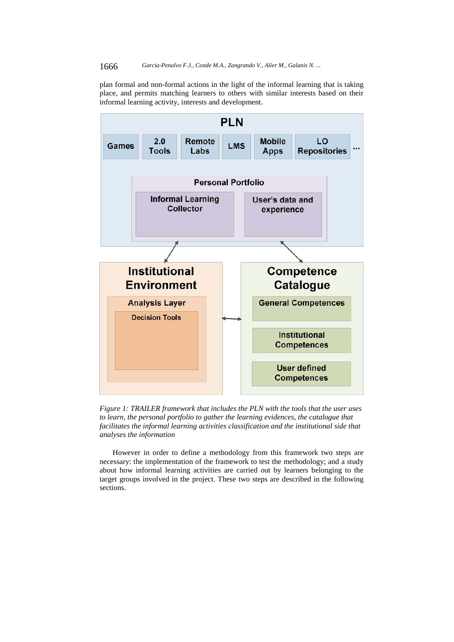plan formal and non-formal actions in the light of the informal learning that is taking place, and permits matching learners to others with similar interests based on their informal learning activity, interests and development.



*Figure 1: TRAILER framework that includes the PLN with the tools that the user uses to learn, the personal portfolio to gather the learning evidences, the catalogue that facilitates the informal learning activities classification and the institutional side that analyses the information* 

However in order to define a methodology from this framework two steps are necessary: the implementation of the framework to test the methodology; and a study about how informal learning activities are carried out by learners belonging to the target groups involved in the project. These two steps are described in the following sections.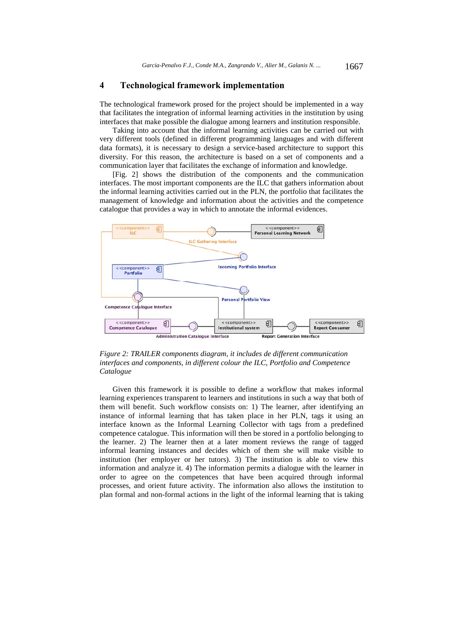## **4 Technological framework implementation**

The technological framework prosed for the project should be implemented in a way that facilitates the integration of informal learning activities in the institution by using interfaces that make possible the dialogue among learners and institution responsible.

Taking into account that the informal learning activities can be carried out with very different tools (defined in different programming languages and with different data formats), it is necessary to design a service-based architecture to support this diversity. For this reason, the architecture is based on a set of components and a communication layer that facilitates the exchange of information and knowledge.

[Fig. 2] shows the distribution of the components and the communication interfaces. The most important components are the ILC that gathers information about the informal learning activities carried out in the PLN, the portfolio that facilitates the management of knowledge and information about the activities and the competence catalogue that provides a way in which to annotate the informal evidences.



*Figure 2: TRAILER components diagram, it includes de different communication interfaces and components, in different colour the ILC, Portfolio and Competence Catalogue* 

Given this framework it is possible to define a workflow that makes informal learning experiences transparent to learners and institutions in such a way that both of them will benefit. Such workflow consists on: 1) The learner, after identifying an instance of informal learning that has taken place in her PLN, tags it using an interface known as the Informal Learning Collector with tags from a predefined competence catalogue. This information will then be stored in a portfolio belonging to the learner. 2) The learner then at a later moment reviews the range of tagged informal learning instances and decides which of them she will make visible to institution (her employer or her tutors). 3) The institution is able to view this information and analyze it. 4) The information permits a dialogue with the learner in order to agree on the competences that have been acquired through informal processes, and orient future activity. The information also allows the institution to plan formal and non-formal actions in the light of the informal learning that is taking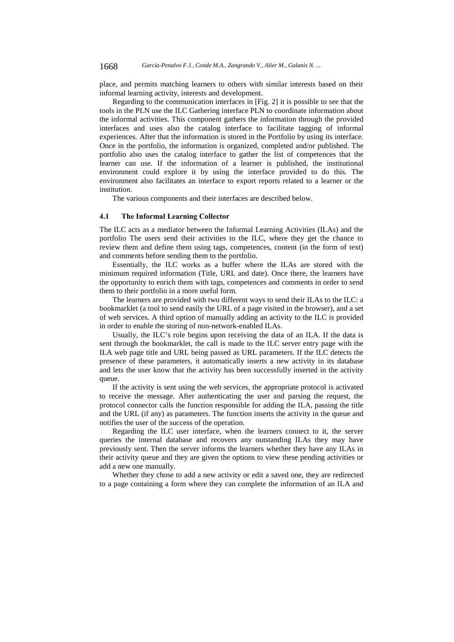place, and permits matching learners to others with similar interests based on their informal learning activity, interests and development.

Regarding to the communication interfaces in [Fig. 2] it is possible to see that the tools in the PLN use the ILC Gathering interface PLN to coordinate information about the informal activities. This component gathers the information through the provided interfaces and uses also the catalog interface to facilitate tagging of informal experiences. After that the information is stored in the Portfolio by using its interface. Once in the portfolio, the information is organized, completed and/or published. The portfolio also uses the catalog interface to gather the list of competences that the learner can use. If the information of a learner is published, the institutional environment could explore it by using the interface provided to do this. The environment also facilitates an interface to export reports related to a learner or the institution.

The various components and their interfaces are described below.

#### **4.1 The Informal Learning Collector**

The ILC acts as a mediator between the Informal Learning Activities (ILAs) and the portfolio The users send their activities to the ILC, where they get the chance to review them and define them using tags, competences, content (in the form of text) and comments before sending them to the portfolio.

Essentially, the ILC works as a buffer where the ILAs are stored with the minimum required information (Title, URL and date). Once there, the learners have the opportunity to enrich them with tags, competences and comments in order to send them to their portfolio in a more useful form.

The learners are provided with two different ways to send their ILAs to the ILC: a bookmarklet (a tool to send easily the URL of a page visited in the browser), and a set of web services. A third option of manually adding an activity to the ILC is provided in order to enable the storing of non-network-enabled ILAs.

Usually, the ILC's role begins upon receiving the data of an ILA. If the data is sent through the bookmarklet, the call is made to the ILC server entry page with the ILA web page title and URL being passed as URL parameters. If the ILC detects the presence of these parameters, it automatically inserts a new activity in its database and lets the user know that the activity has been successfully inserted in the activity queue.

If the activity is sent using the web services, the appropriate protocol is activated to receive the message. After authenticating the user and parsing the request, the protocol connector calls the function responsible for adding the ILA, passing the title and the URL (if any) as parameters. The function inserts the activity in the queue and notifies the user of the success of the operation.

Regarding the ILC user interface, when the learners connect to it, the server queries the internal database and recovers any outstanding ILAs they may have previously sent. Then the server informs the learners whether they have any ILAs in their activity queue and they are given the options to view these pending activities or add a new one manually.

Whether they chose to add a new activity or edit a saved one, they are redirected to a page containing a form where they can complete the information of an ILA and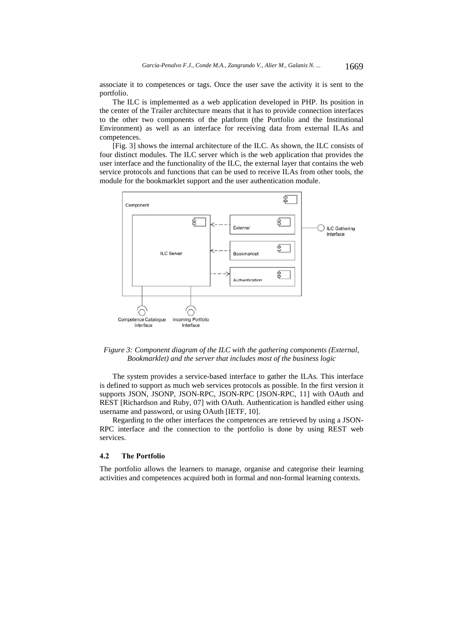associate it to competences or tags. Once the user save the activity it is sent to the portfolio.

The ILC is implemented as a web application developed in PHP. Its position in the center of the Trailer architecture means that it has to provide connection interfaces to the other two components of the platform (the Portfolio and the Institutional Environment) as well as an interface for receiving data from external ILAs and competences.

[Fig. 3] shows the internal architecture of the ILC. As shown, the ILC consists of four distinct modules. The ILC server which is the web application that provides the user interface and the functionality of the ILC, the external layer that contains the web service protocols and functions that can be used to receive ILAs from other tools, the module for the bookmarklet support and the user authentication module.



*Figure 3: Component diagram of the ILC with the gathering components (External, Bookmarklet) and the server that includes most of the business logic* 

The system provides a service-based interface to gather the ILAs. This interface is defined to support as much web services protocols as possible. In the first version it supports JSON, JSONP, JSON-RPC, JSON-RPC [JSON-RPC, 11] with OAuth and REST [Richardson and Ruby, 07] with OAuth. Authentication is handled either using username and password, or using OAuth [IETF, 10].

Regarding to the other interfaces the competences are retrieved by using a JSON-RPC interface and the connection to the portfolio is done by using REST web services.

#### **4.2 The Portfolio**

The portfolio allows the learners to manage, organise and categorise their learning activities and competences acquired both in formal and non-formal learning contexts.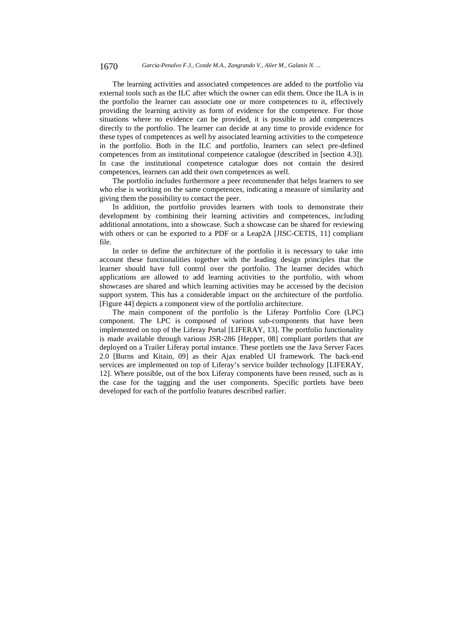The learning activities and associated competences are added to the portfolio via external tools such as the ILC after which the owner can edit them. Once the ILA is in the portfolio the learner can associate one or more competences to it, effectively providing the learning activity as form of evidence for the competence. For those situations where no evidence can be provided, it is possible to add competences directly to the portfolio. The learner can decide at any time to provide evidence for these types of competences as well by associated learning activities to the competence in the portfolio. Both in the ILC and portfolio, learners can select pre-defined competences from an institutional competence catalogue (described in [section 4.3]). In case the institutional competence catalogue does not contain the desired competences, learners can add their own competences as well.

The portfolio includes furthermore a peer recommender that helps learners to see who else is working on the same competences, indicating a measure of similarity and giving them the possibility to contact the peer.

In addition, the portfolio provides learners with tools to demonstrate their development by combining their learning activities and competences, including additional annotations, into a showcase. Such a showcase can be shared for reviewing with others or can be exported to a PDF or a Leap2A [JISC-CETIS, 11] compliant file.

In order to define the architecture of the portfolio it is necessary to take into account these functionalities together with the leading design principles that the learner should have full control over the portfolio. The learner decides which applications are allowed to add learning activities to the portfolio, with whom showcases are shared and which learning activities may be accessed by the decision support system. This has a considerable impact on the architecture of the portfolio. [Figure 44] depicts a component view of the portfolio architecture.

The main component of the portfolio is the Liferay Portfolio Core (LPC) component. The LPC is composed of various sub-components that have been implemented on top of the Liferay Portal [LIFERAY, 13]. The portfolio functionality is made available through various JSR-286 [Hepper, 08] compliant portlets that are deployed on a Trailer Liferay portal instance. These portlets use the Java Server Faces 2.0 [Burns and Kitain, 09] as their Ajax enabled UI framework. The back-end services are implemented on top of Liferay's service builder technology [LIFERAY, 12]. Where possible, out of the box Liferay components have been reused, such as is the case for the tagging and the user components. Specific portlets have been developed for each of the portfolio features described earlier.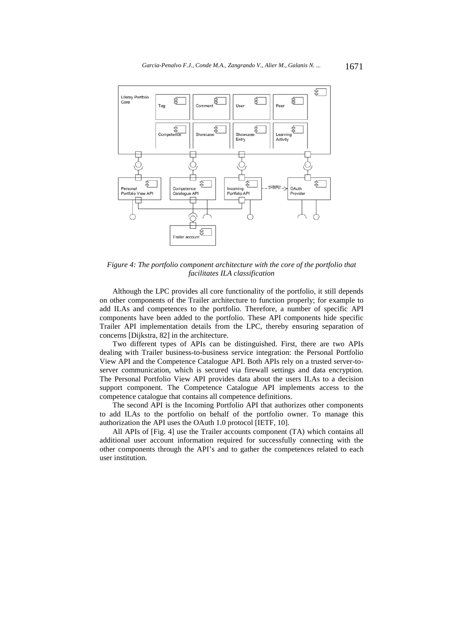

*Figure 4: The portfolio component architecture with the core of the portfolio that facilitates ILA classification* 

Although the LPC provides all core functionality of the portfolio, it still depends on other components of the Trailer architecture to function properly; for example to add ILAs and competences to the portfolio. Therefore, a number of specific API components have been added to the portfolio. These API components hide specific Trailer API implementation details from the LPC, thereby ensuring separation of concerns [Dijkstra, 82] in the architecture.

Two different types of APIs can be distinguished. First, there are two APIs dealing with Trailer business-to-business service integration: the Personal Portfolio View API and the Competence Catalogue API. Both APIs rely on a trusted server-toserver communication, which is secured via firewall settings and data encryption. The Personal Portfolio View API provides data about the users ILAs to a decision support component. The Competence Catalogue API implements access to the competence catalogue that contains all competence definitions.

The second API is the Incoming Portfolio API that authorizes other components to add ILAs to the portfolio on behalf of the portfolio owner. To manage this authorization the API uses the OAuth 1.0 protocol [IETF, 10].

All APIs of [Fig. 4] use the Trailer accounts component (TA) which contains all additional user account information required for successfully connecting with the other components through the API's and to gather the competences related to each user institution.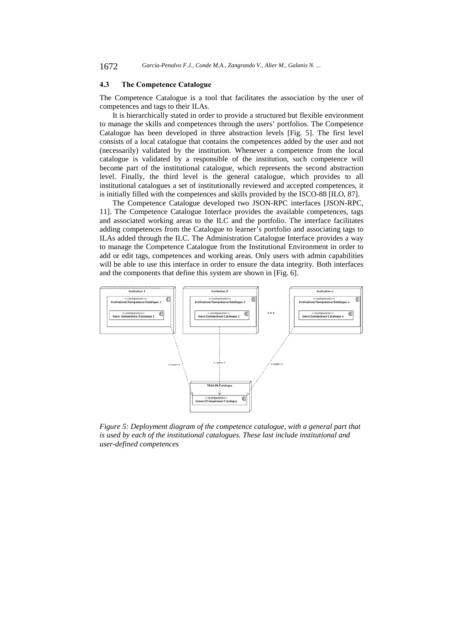## **4.3 The Competence Catalogue**

The Competence Catalogue is a tool that facilitates the association by the user of competences and tags to their ILAs.

It is hierarchically stated in order to provide a structured but flexible environment to manage the skills and competences through the users' portfolios. The Competence Catalogue has been developed in three abstraction levels [Fig. 5]. The first level consists of a local catalogue that contains the competences added by the user and not (necessarily) validated by the institution. Whenever a competence from the local catalogue is validated by a responsible of the institution, such competence will become part of the institutional catalogue, which represents the second abstraction level. Finally, the third level is the general catalogue, which provides to all institutional catalogues a set of institutionally reviewed and accepted competences, it is initially filled with the competences and skills provided by the ISCO-88 [ILO, 87].

The Competence Catalogue developed two JSON-RPC interfaces [JSON-RPC, 11]. The Competence Catalogue Interface provides the available competences, tags and associated working areas to the ILC and the portfolio. The interface facilitates adding competences from the Catalogue to learner's portfolio and associating tags to ILAs added through the ILC. The Administration Catalogue Interface provides a way to manage the Competence Catalogue from the Institutional Environment in order to add or edit tags, competences and working areas. Only users with admin capabilities will be able to use this interface in order to ensure the data integrity. Both interfaces and the components that define this system are shown in [Fig. 6].



*Figure 5: Deployment diagram of the competence catalogue, with a general part that is used by each of the institutional catalogues. These last include institutional and user-defined competences*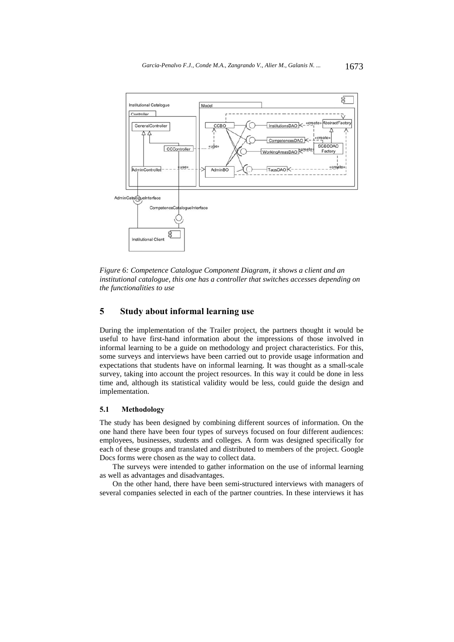

*Figure 6: Competence Catalogue Component Diagram, it shows a client and an institutional catalogue, this one has a controller that switches accesses depending on the functionalities to use* 

# **5 Study about informal learning use**

During the implementation of the Trailer project, the partners thought it would be useful to have first-hand information about the impressions of those involved in informal learning to be a guide on methodology and project characteristics. For this, some surveys and interviews have been carried out to provide usage information and expectations that students have on informal learning. It was thought as a small-scale survey, taking into account the project resources. In this way it could be done in less time and, although its statistical validity would be less, could guide the design and implementation.

#### **5.1 Methodology**

The study has been designed by combining different sources of information. On the one hand there have been four types of surveys focused on four different audiences: employees, businesses, students and colleges. A form was designed specifically for each of these groups and translated and distributed to members of the project. Google Docs forms were chosen as the way to collect data.

The surveys were intended to gather information on the use of informal learning as well as advantages and disadvantages.

On the other hand, there have been semi-structured interviews with managers of several companies selected in each of the partner countries. In these interviews it has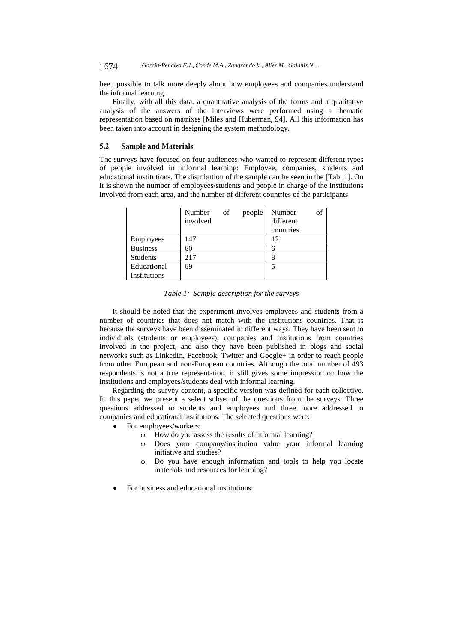been possible to talk more deeply about how employees and companies understand the informal learning.

Finally, with all this data, a quantitative analysis of the forms and a qualitative analysis of the answers of the interviews were performed using a thematic representation based on matrixes [Miles and Huberman, 94]. All this information has been taken into account in designing the system methodology.

#### **5.2 Sample and Materials**

The surveys have focused on four audiences who wanted to represent different types of people involved in informal learning: Employee, companies, students and educational institutions. The distribution of the sample can be seen in the [Tab. 1]. On it is shown the number of employees/students and people in charge of the institutions involved from each area, and the number of different countries of the participants.

|                 | Number   | of | people | Number    |  |
|-----------------|----------|----|--------|-----------|--|
|                 | involved |    |        | different |  |
|                 |          |    |        | countries |  |
| Employees       | 147      |    |        | 12        |  |
| <b>Business</b> | 60       |    |        |           |  |
| <b>Students</b> | 217      |    |        | 8         |  |
| Educational     | 69       |    |        |           |  |
| Institutions    |          |    |        |           |  |

*Table 1: Sample description for the surveys* 

It should be noted that the experiment involves employees and students from a number of countries that does not match with the institutions countries. That is because the surveys have been disseminated in different ways. They have been sent to individuals (students or employees), companies and institutions from countries involved in the project, and also they have been published in blogs and social networks such as LinkedIn, Facebook, Twitter and Google+ in order to reach people from other European and non-European countries. Although the total number of 493 respondents is not a true representation, it still gives some impression on how the institutions and employees/students deal with informal learning.

Regarding the survey content, a specific version was defined for each collective. In this paper we present a select subset of the questions from the surveys. Three questions addressed to students and employees and three more addressed to companies and educational institutions. The selected questions were:

- For employees/workers:
	- o How do you assess the results of informal learning?
		- o Does your company/institution value your informal learning initiative and studies?
		- o Do you have enough information and tools to help you locate materials and resources for learning?
- For business and educational institutions: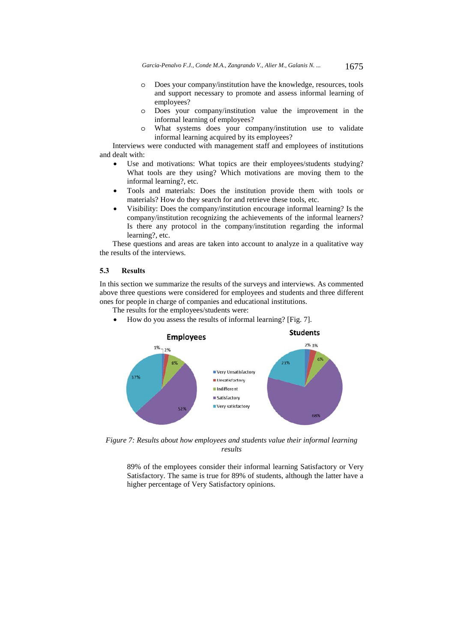*Garcia-Penalvo F.J., Conde M.A., Zangrando V., Alier M., Galanis N. ...* 1675

- o Does your company/institution have the knowledge, resources, tools and support necessary to promote and assess informal learning of employees?
- o Does your company/institution value the improvement in the informal learning of employees?
- o What systems does your company/institution use to validate informal learning acquired by its employees?

Interviews were conducted with management staff and employees of institutions and dealt with:

- Use and motivations: What topics are their employees/students studying? What tools are they using? Which motivations are moving them to the informal learning?, etc.
- Tools and materials: Does the institution provide them with tools or materials? How do they search for and retrieve these tools, etc.
- Visibility: Does the company/institution encourage informal learning? Is the company/institution recognizing the achievements of the informal learners? Is there any protocol in the company/institution regarding the informal learning?, etc.

These questions and areas are taken into account to analyze in a qualitative way the results of the interviews.

#### **5.3 Results**

In this section we summarize the results of the surveys and interviews. As commented above three questions were considered for employees and students and three different ones for people in charge of companies and educational institutions.

The results for the employees/students were:

How do you assess the results of informal learning? [Fig. 7].



*Figure 7: Results about how employees and students value their informal learning results* 

89% of the employees consider their informal learning Satisfactory or Very Satisfactory. The same is true for 89% of students, although the latter have a higher percentage of Very Satisfactory opinions.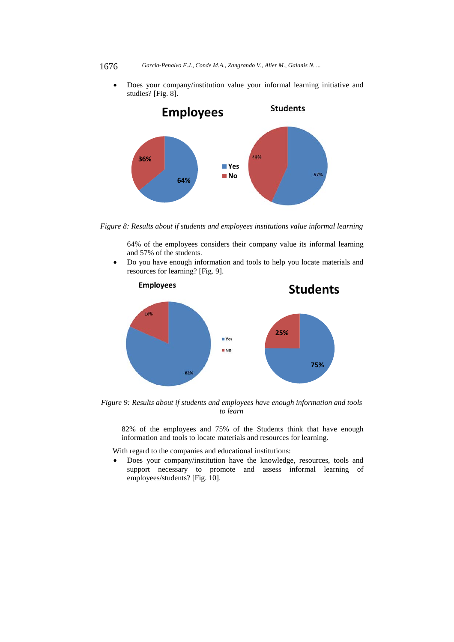#### 1676 *Garcia-Penalvo F.J., Conde M.A., Zangrando V., Alier M., Galanis N. ...*

 Does your company/institution value your informal learning initiative and studies? [Fig. 8].



*Figure 8: Results about if students and employees institutions value informal learning* 

64% of the employees considers their company value its informal learning and 57% of the students.

 Do you have enough information and tools to help you locate materials and resources for learning? [Fig. 9].



 *Figure 9: Results about if students and employees have enough information and tools to learn* 

82% of the employees and 75% of the Students think that have enough information and tools to locate materials and resources for learning.

With regard to the companies and educational institutions:

 Does your company/institution have the knowledge, resources, tools and support necessary to promote and assess informal learning of employees/students? [Fig. 10].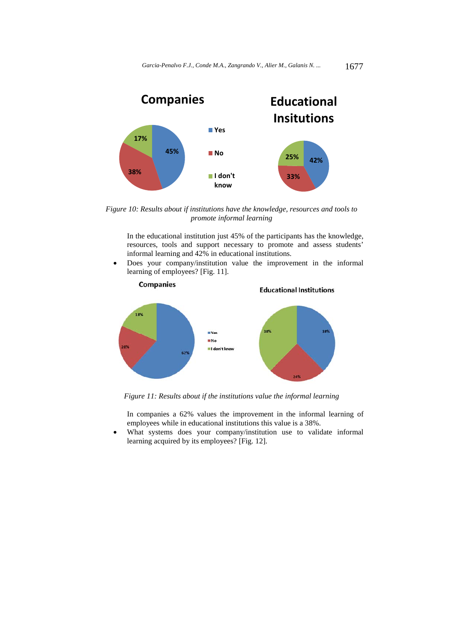

 *Figure 10: Results about if institutions have the knowledge, resources and tools to promote informal learning* 

In the educational institution just 45% of the participants has the knowledge, resources, tools and support necessary to promote and assess students' informal learning and 42% in educational institutions.

 Does your company/institution value the improvement in the informal learning of employees? [Fig. 11].



*Figure 11: Results about if the institutions value the informal learning* 

In companies a 62% values the improvement in the informal learning of employees while in educational institutions this value is a 38%.

 What systems does your company/institution use to validate informal learning acquired by its employees? [Fig. 12].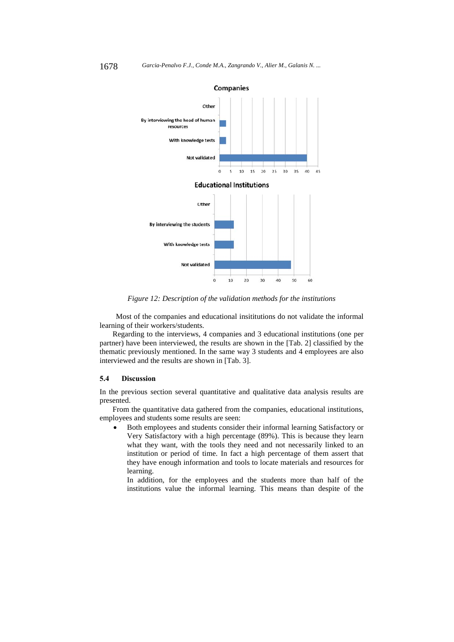

*Figure 12: Description of the validation methods for the institutions* 

Most of the companies and educational insititutions do not validate the informal learning of their workers/students.

Regarding to the interviews, 4 companies and 3 educational institutions (one per partner) have been interviewed, the results are shown in the [Tab. 2] classified by the thematic previously mentioned. In the same way 3 students and 4 employees are also interviewed and the results are shown in [Tab. 3].

#### **5.4 Discussion**

In the previous section several quantitative and qualitative data analysis results are presented.

From the quantitative data gathered from the companies, educational institutions, employees and students some results are seen:

 Both employees and students consider their informal learning Satisfactory or Very Satisfactory with a high percentage (89%). This is because they learn what they want, with the tools they need and not necessarily linked to an institution or period of time. In fact a high percentage of them assert that they have enough information and tools to locate materials and resources for learning.

In addition, for the employees and the students more than half of the institutions value the informal learning. This means than despite of the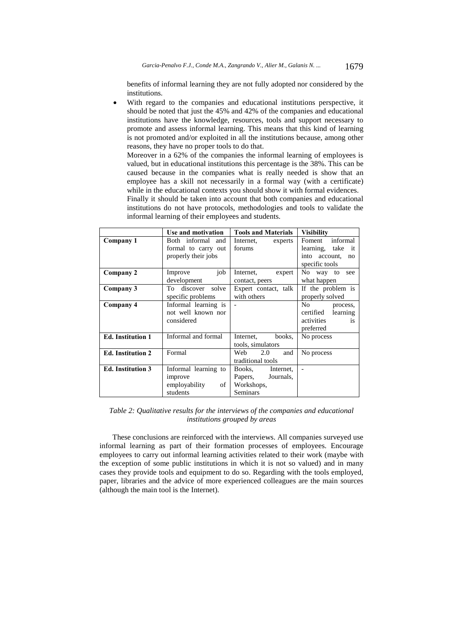benefits of informal learning they are not fully adopted nor considered by the institutions.

 With regard to the companies and educational institutions perspective, it should be noted that just the 45% and 42% of the companies and educational institutions have the knowledge, resources, tools and support necessary to promote and assess informal learning. This means that this kind of learning is not promoted and/or exploited in all the institutions because, among other reasons, they have no proper tools to do that.

Moreover in a 62% of the companies the informal learning of employees is valued, but in educational institutions this percentage is the 38%. This can be caused because in the companies what is really needed is show that an employee has a skill not necessarily in a formal way (with a certificate) while in the educational contexts you should show it with formal evidences.

Finally it should be taken into account that both companies and educational institutions do not have protocols, methodologies and tools to validate the informal learning of their employees and students.

|                          | Use and motivation   | <b>Tools and Materials</b> | <b>Visibility</b>      |
|--------------------------|----------------------|----------------------------|------------------------|
| Company 1                | Both informal<br>and | Internet,<br>experts       | informal<br>Foment     |
|                          | formal to carry out  | forums                     | learning, take it      |
|                          | properly their jobs  |                            | account,<br>into<br>no |
|                          |                      |                            | specific tools         |
| Company 2                | job<br>Improve       | Internet,<br>expert        | No way to<br>see       |
|                          | development          | contact, peers             | what happen            |
| Company 3                | discover solve<br>To | Expert contact, talk       | If the problem is      |
|                          | specific problems    | with others                | properly solved        |
| Company 4                | Informal learning is |                            | No<br>process,         |
|                          | not well known nor   |                            | learning<br>certified  |
|                          | considered           |                            | activities<br>is       |
|                          |                      |                            | preferred              |
| <b>Ed.</b> Institution 1 | Informal and formal  | Internet,<br>books,        | No process             |
|                          |                      | tools, simulators          |                        |
| <b>Ed.</b> Institution 2 | Formal               | 2.0<br>Web<br>and          | No process             |
|                          |                      | traditional tools          |                        |
| <b>Ed.</b> Institution 3 | Informal learning to | Books,<br>Internet,        | $\overline{a}$         |
|                          | improve              | Papers,<br>Journals,       |                        |
|                          | of<br>employability  | Workshops,                 |                        |
|                          | students             | Seminars                   |                        |

*Table 2: Qualitative results for the interviews of the companies and educational institutions grouped by areas* 

These conclusions are reinforced with the interviews. All companies surveyed use informal learning as part of their formation processes of employees. Encourage employees to carry out informal learning activities related to their work (maybe with the exception of some public institutions in which it is not so valued) and in many cases they provide tools and equipment to do so. Regarding with the tools employed, paper, libraries and the advice of more experienced colleagues are the main sources (although the main tool is the Internet).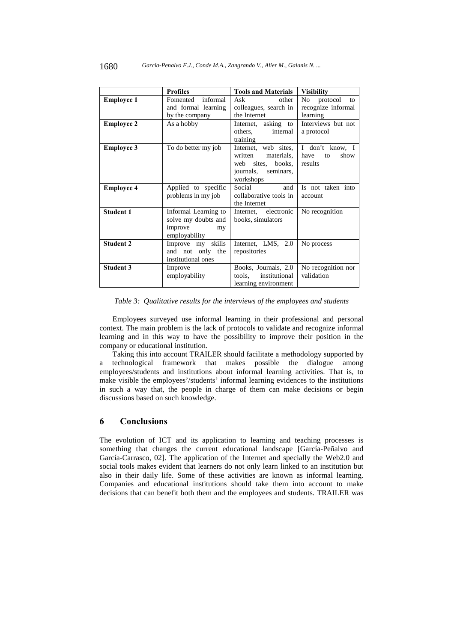|                   | <b>Profiles</b>                                                               | <b>Tools and Materials</b>                                                                                   | <b>Visibility</b>                                      |
|-------------------|-------------------------------------------------------------------------------|--------------------------------------------------------------------------------------------------------------|--------------------------------------------------------|
| <b>Employee 1</b> | informal<br>Fomented<br>and formal learning<br>by the company                 | Ask<br>other<br>colleagues, search in<br>the Internet                                                        | No<br>protocol<br>to<br>recognize informal<br>learning |
| <b>Employee 2</b> | As a hobby                                                                    | Internet, asking to<br>others,<br>internal<br>training                                                       | Interviews but not<br>a protocol                       |
| <b>Employee 3</b> | To do better my job                                                           | Internet, web sites,<br>written<br>materials,<br>sites, books,<br>web<br>journals,<br>seminars,<br>workshops | I don't know, I<br>have<br>show<br>to<br>results       |
| <b>Employee 4</b> | Applied to specific<br>problems in my job                                     | Social<br>and<br>collaborative tools in<br>the Internet                                                      | Is not taken into<br>account                           |
| <b>Student 1</b>  | Informal Learning to<br>solve my doubts and<br>improve<br>my<br>employability | Internet, electronic<br>books, simulators                                                                    | No recognition                                         |
| <b>Student 2</b>  | Improve my skills<br>and not only the<br>institutional ones                   | Internet, LMS, 2.0<br>repositories                                                                           | No process                                             |
| <b>Student 3</b>  | Improve<br>employability                                                      | Books, Journals, 2.0<br>institutional<br>tools,<br>learning environment                                      | No recognition nor<br>validation                       |

*Table 3: Qualitative results for the interviews of the employees and students* 

Employees surveyed use informal learning in their professional and personal context. The main problem is the lack of protocols to validate and recognize informal learning and in this way to have the possibility to improve their position in the company or educational institution.

Taking this into account TRAILER should facilitate a methodology supported by a technological framework that makes possible the dialogue among employees/students and institutions about informal learning activities. That is, to make visible the employees'/students' informal learning evidences to the institutions in such a way that, the people in charge of them can make decisions or begin discussions based on such knowledge.

## **6 Conclusions**

The evolution of ICT and its application to learning and teaching processes is something that changes the current educational landscape [García-Peñalvo and García-Carrasco, 02]. The application of the Internet and specially the Web2.0 and social tools makes evident that learners do not only learn linked to an institution but also in their daily life. Some of these activities are known as informal learning. Companies and educational institutions should take them into account to make decisions that can benefit both them and the employees and students. TRAILER was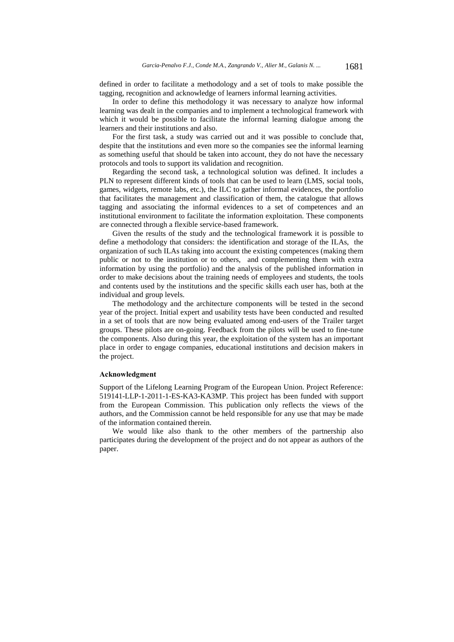defined in order to facilitate a methodology and a set of tools to make possible the tagging, recognition and acknowledge of learners informal learning activities.

In order to define this methodology it was necessary to analyze how informal learning was dealt in the companies and to implement a technological framework with which it would be possible to facilitate the informal learning dialogue among the learners and their institutions and also.

For the first task, a study was carried out and it was possible to conclude that, despite that the institutions and even more so the companies see the informal learning as something useful that should be taken into account, they do not have the necessary protocols and tools to support its validation and recognition.

Regarding the second task, a technological solution was defined. It includes a PLN to represent different kinds of tools that can be used to learn (LMS, social tools, games, widgets, remote labs, etc.), the ILC to gather informal evidences, the portfolio that facilitates the management and classification of them, the catalogue that allows tagging and associating the informal evidences to a set of competences and an institutional environment to facilitate the information exploitation. These components are connected through a flexible service-based framework.

Given the results of the study and the technological framework it is possible to define a methodology that considers: the identification and storage of the ILAs, the organization of such ILAs taking into account the existing competences (making them public or not to the institution or to others, and complementing them with extra information by using the portfolio) and the analysis of the published information in order to make decisions about the training needs of employees and students, the tools and contents used by the institutions and the specific skills each user has, both at the individual and group levels.

The methodology and the architecture components will be tested in the second year of the project. Initial expert and usability tests have been conducted and resulted in a set of tools that are now being evaluated among end-users of the Trailer target groups. These pilots are on-going. Feedback from the pilots will be used to fine-tune the components. Also during this year, the exploitation of the system has an important place in order to engage companies, educational institutions and decision makers in the project.

#### **Acknowledgment**

Support of the Lifelong Learning Program of the European Union. Project Reference: 519141-LLP-1-2011-1-ES-KA3-KA3MP. This project has been funded with support from the European Commission. This publication only reflects the views of the authors, and the Commission cannot be held responsible for any use that may be made of the information contained therein.

We would like also thank to the other members of the partnership also participates during the development of the project and do not appear as authors of the paper.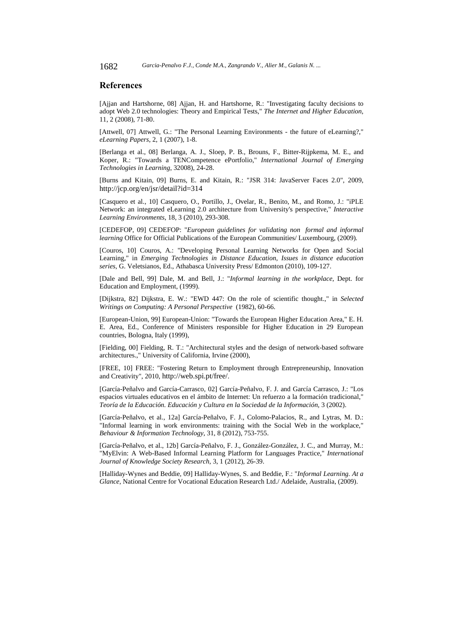## **References**

[Ajjan and Hartshorne, 08] Ajjan, H. and Hartshorne, R.: "Investigating faculty decisions to adopt Web 2.0 technologies: Theory and Empirical Tests," *The Internet and Higher Education*, 11, 2 (2008), 71-80.

[Attwell, 07] Attwell, G.: "The Personal Learning Environments - the future of eLearning?," *eLearning Papers*, 2, 1 (2007), 1-8.

[Berlanga et al., 08] Berlanga, A. J., Sloep, P. B., Brouns, F., Bitter-Rijpkema, M. E., and Koper, R.: "Towards a TENCompetence ePortfolio," *International Journal of Emerging Technologies in Learning*, 32008), 24-28.

[Burns and Kitain, 09] Burns, E. and Kitain, R.: "JSR 314: JavaServer Faces 2.0", 2009, http://jcp.org/en/jsr/detail?id=314

[Casquero et al., 10] Casquero, O., Portillo, J., Ovelar, R., Benito, M., and Romo, J.: "iPLE Network: an integrated eLearning 2.0 architecture from University's perspective," *Interactive Learning Environments*, 18, 3 (2010), 293-308.

[CEDEFOP, 09] CEDEFOP: "*European guidelines for validating nonformal and informal learning* Office for Official Publications of the European Communities/ Luxembourg, (2009).

[Couros, 10] Couros, A.: "Developing Personal Learning Networks for Open and Social Learning," in *Emerging Technologies in Distance Education*, *Issues in distance education series*, G. Veletsianos, Ed., Athabasca University Press/ Edmonton (2010), 109-127.

[Dale and Bell, 99] Dale, M. and Bell, J.: "*Informal learning in the workplace*, Dept. for Education and Employment, (1999).

[Dijkstra, 82] Dijkstra, E. W.: "EWD 447: On the role of scientific thought.," in *Selected Writings on Computing: A Personal Perspective* (1982), 60-66.

[European-Union, 99] European-Union: "Towards the European Higher Education Area," E. H. E. Area, Ed., Conference of Ministers responsible for Higher Education in 29 European countries, Bologna, Italy (1999),

[Fielding, 00] Fielding, R. T.: "Architectural styles and the design of network-based software architectures.," University of California, Irvine (2000),

[FREE, 10] FREE: "Fostering Return to Employment through Entrepreneurship, Innovation and Creativity", 2010, http://web.spi.pt/free/.

[García-Peñalvo and García-Carrasco, 02] García-Peñalvo, F. J. and García Carrasco, J.: "Los espacios virtuales educativos en el ámbito de Internet: Un refuerzo a la formación tradicional," *Teoría de la Educación. Educación y Cultura en la Sociedad de la Información,* 3 (2002).

[García-Peñalvo, et al., 12a] García-Peñalvo, F. J., Colomo-Palacios, R., and Lytras, M. D.: "Informal learning in work environments: training with the Social Web in the workplace," *Behaviour & Information Technology*, 31, 8 (2012), 753-755.

[García-Peñalvo, et al., 12b] García-Peñalvo, F. J., González-González, J. C., and Murray, M.: "MyElvin: A Web-Based Informal Learning Platform for Languages Practice," *International Journal of Knowledge Society Research*, 3, 1 (2012), 26-39.

[Halliday-Wynes and Beddie, 09] Halliday-Wynes, S. and Beddie, F.: "*Informal Learning. At a Glance*, National Centre for Vocational Education Research Ltd./ Adelaide, Australia, (2009).